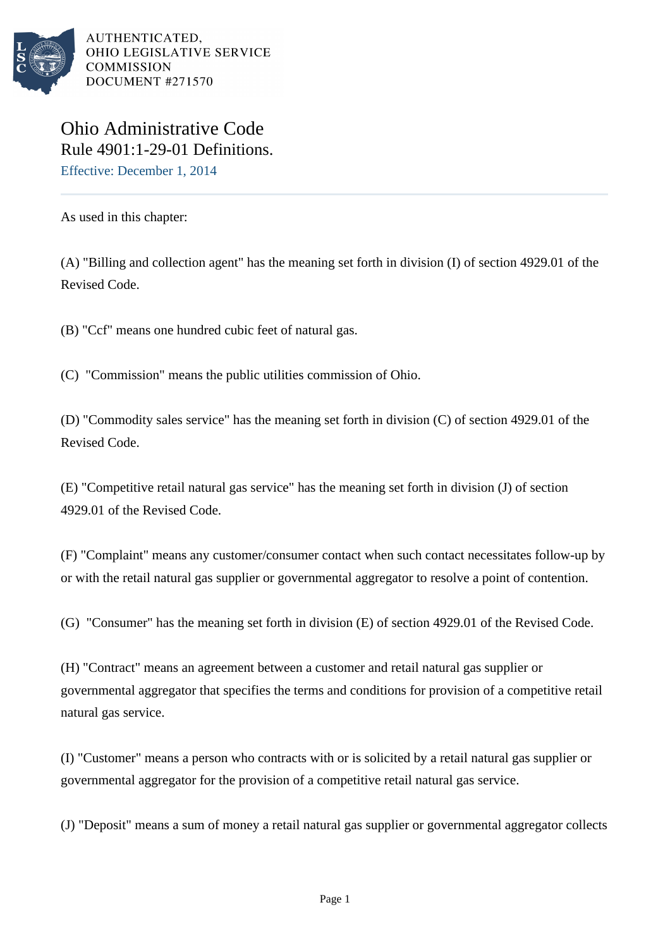

AUTHENTICATED, OHIO LEGISLATIVE SERVICE **COMMISSION** DOCUMENT #271570

## Ohio Administrative Code Rule 4901:1-29-01 Definitions. Effective: December 1, 2014

As used in this chapter:

(A) "Billing and collection agent" has the meaning set forth in division (I) of section 4929.01 of the Revised Code.

(B) "Ccf" means one hundred cubic feet of natural gas.

(C) "Commission" means the public utilities commission of Ohio.

(D) "Commodity sales service" has the meaning set forth in division (C) of section 4929.01 of the Revised Code.

(E) "Competitive retail natural gas service" has the meaning set forth in division (J) of section 4929.01 of the Revised Code.

(F) "Complaint" means any customer/consumer contact when such contact necessitates follow-up by or with the retail natural gas supplier or governmental aggregator to resolve a point of contention.

(G) "Consumer" has the meaning set forth in division (E) of section 4929.01 of the Revised Code.

(H) "Contract" means an agreement between a customer and retail natural gas supplier or governmental aggregator that specifies the terms and conditions for provision of a competitive retail natural gas service.

(I) "Customer" means a person who contracts with or is solicited by a retail natural gas supplier or governmental aggregator for the provision of a competitive retail natural gas service.

(J) "Deposit" means a sum of money a retail natural gas supplier or governmental aggregator collects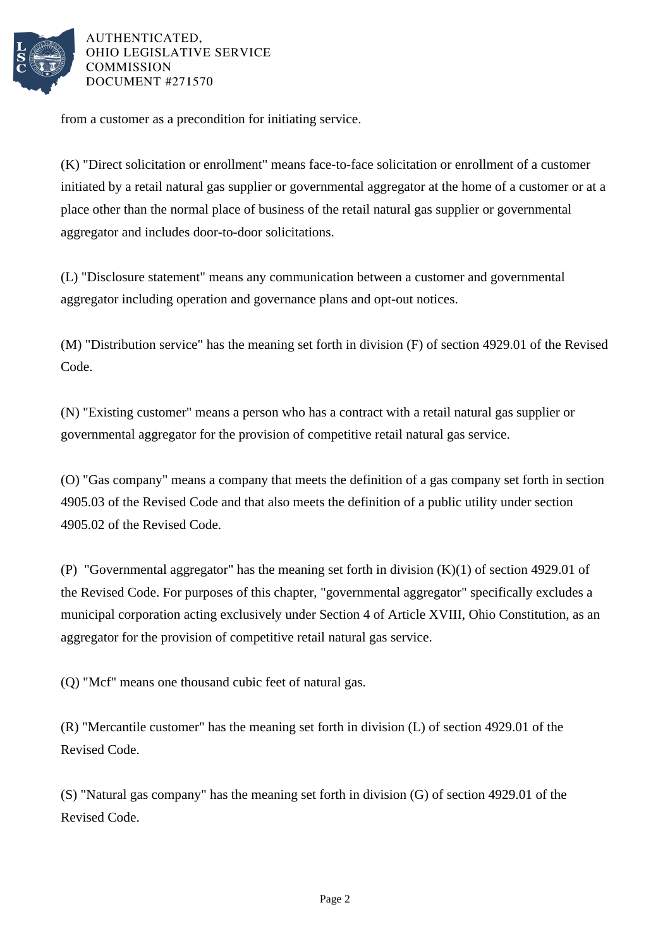

AUTHENTICATED. OHIO LEGISLATIVE SERVICE **COMMISSION** DOCUMENT #271570

from a customer as a precondition for initiating service.

(K) "Direct solicitation or enrollment" means face-to-face solicitation or enrollment of a customer initiated by a retail natural gas supplier or governmental aggregator at the home of a customer or at a place other than the normal place of business of the retail natural gas supplier or governmental aggregator and includes door-to-door solicitations.

(L) "Disclosure statement" means any communication between a customer and governmental aggregator including operation and governance plans and opt-out notices.

(M) "Distribution service" has the meaning set forth in division (F) of section 4929.01 of the Revised Code.

(N) "Existing customer" means a person who has a contract with a retail natural gas supplier or governmental aggregator for the provision of competitive retail natural gas service.

(O) "Gas company" means a company that meets the definition of a gas company set forth in section 4905.03 of the Revised Code and that also meets the definition of a public utility under section 4905.02 of the Revised Code.

(P) "Governmental aggregator" has the meaning set forth in division (K)(1) of section 4929.01 of the Revised Code. For purposes of this chapter, "governmental aggregator" specifically excludes a municipal corporation acting exclusively under Section 4 of Article XVIII, Ohio Constitution, as an aggregator for the provision of competitive retail natural gas service.

(Q) "Mcf" means one thousand cubic feet of natural gas.

(R) "Mercantile customer" has the meaning set forth in division (L) of section 4929.01 of the Revised Code.

(S) "Natural gas company" has the meaning set forth in division (G) of section 4929.01 of the Revised Code.